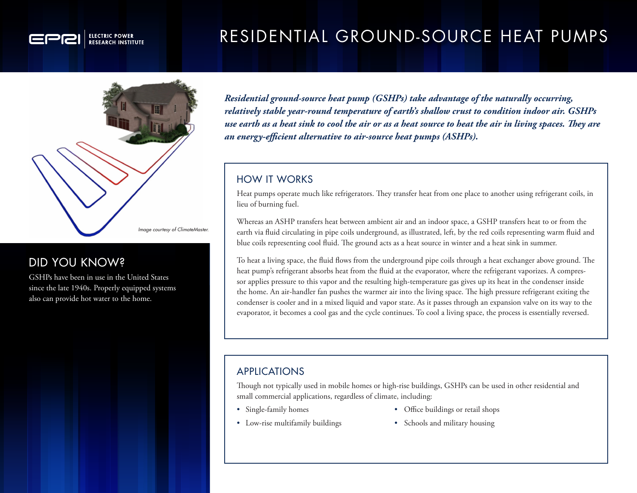# RESIDENTIAL GROUND-SOURCE HEAT PUMPS



**ELECTRIC POWER** 

# DID YOU KNOW?

GSHPs have been in use in the United States since the late 1940s. Properly equipped systems also can provide hot water to the home.

*Residential ground-source heat pump (GSHPs) take advantage of the naturally occurring, relatively stable year-round temperature of earth's shallow crust to condition indoor air. GSHPs use earth as a heat sink to cool the air or as a heat source to heat the air in living spaces. They are an energy-efficient alternative to air-source heat pumps (ASHPs).* 

### HOW IT WORKS

Heat pumps operate much like refrigerators. They transfer heat from one place to another using refrigerant coils, in lieu of burning fuel.

Whereas an ASHP transfers heat between ambient air and an indoor space, a GSHP transfers heat to or from the earth via fluid circulating in pipe coils underground, as illustrated, left, by the red coils representing warm fluid and blue coils representing cool fluid. The ground acts as a heat source in winter and a heat sink in summer.

To heat a living space, the fluid flows from the underground pipe coils through a heat exchanger above ground. The heat pump's refrigerant absorbs heat from the fluid at the evaporator, where the refrigerant vaporizes. A compressor applies pressure to this vapor and the resulting high-temperature gas gives up its heat in the condenser inside the home. An air-handler fan pushes the warmer air into the living space. The high pressure refrigerant exiting the condenser is cooler and in a mixed liquid and vapor state. As it passes through an expansion valve on its way to the evaporator, it becomes a cool gas and the cycle continues. To cool a living space, the process is essentially reversed.

# APPLICATIONS

Though not typically used in mobile homes or high-rise buildings, GSHPs can be used in other residential and small commercial applications, regardless of climate, including:

- 
- Single-family homes Office buildings or retail shops
- 
- Low-rise multifamily buildings Schools and military housing